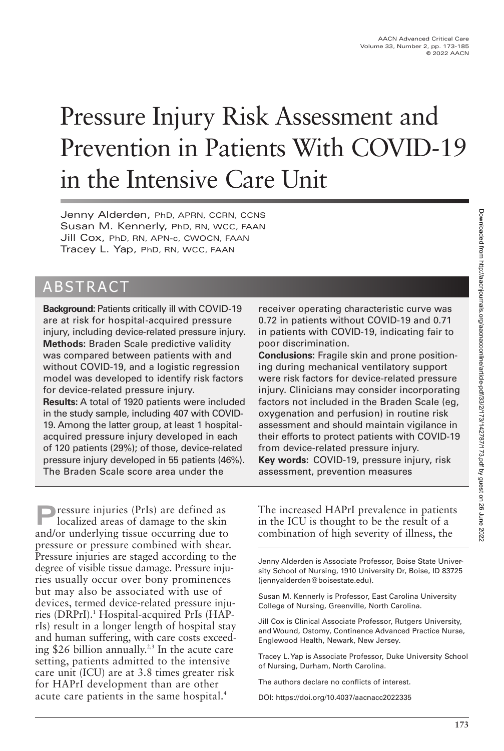# Pressure Injury Risk Assessment and Prevention in Patients With COVID-19 in the Intensive Care Unit

Jenny Alderden, PhD, APRN, CCRN, CCNS Susan M. Kennerly, PhD, RN, WCC, FAAN Jill Cox, PhD, RN, APN-c, CWOCN, FAAN Tracey L. Yap, PhD, RN, WCC, FAAN

# ABSTRACT

**Background:** Patients critically ill with COVID-19 are at risk for hospital-acquired pressure injury, including device-related pressure injury. **Methods:** Braden Scale predictive validity was compared between patients with and without COVID-19, and a logistic regression model was developed to identify risk factors for device-related pressure injury. **Results:** A total of 1920 patients were included in the study sample, including 407 with COVID-19. Among the latter group, at least 1 hospitalacquired pressure injury developed in each of 120 patients (29%); of those, device-related pressure injury developed in 55 patients (46%). The Braden Scale score area under the

**P**ressure injuries (PrIs) are defined as localized areas of damage to the skin and/or underlying tissue occurring due to pressure or pressure combined with shear. Pressure injuries are staged according to the degree of visible tissue damage. Pressure injuries usually occur over bony prominences but may also be associated with use of devices, termed device-related pressure injuries (DRPrI).<sup>1</sup> Hospital-acquired PrIs (HAPrIs) result in a longer length of hospital stay and human suffering, with care costs exceeding \$26 billion annually.<sup>2,3</sup> In the acute care setting, patients admitted to the intensive care unit (ICU) are at 3.8 times greater risk for HAPrI development than are other acute care patients in the same hospital.<sup>4</sup>

receiver operating characteristic curve was 0.72 in patients without COVID-19 and 0.71 in patients with COVID-19, indicating fair to poor discrimination.

**Conclusions:** Fragile skin and prone positioning during mechanical ventilatory support were risk factors for device-related pressure injury. Clinicians may consider incorporating factors not included in the Braden Scale (eg, oxygenation and perfusion) in routine risk assessment and should maintain vigilance in their efforts to protect patients with COVID-19 from device-related pressure injury. **Key words:** COVID-19, pressure injury, risk assessment, prevention measures

The increased HAPrI prevalence in patients in the ICU is thought to be the result of a combination of high severity of illness, the

Jenny Alderden is Associate Professor, Boise State University School of Nursing, 1910 University Dr, Boise, ID 83725 (jennyalderden@boisestate.edu).

Susan M. Kennerly is Professor, East Carolina University College of Nursing, Greenville, North Carolina.

Jill Cox is Clinical Associate Professor, Rutgers University, and Wound, Ostomy, Continence Advanced Practice Nurse, Englewood Health, Newark, New Jersey.

Tracey L. Yap is Associate Professor, Duke University School of Nursing, Durham, North Carolina.

The authors declare no conflicts of interest.

DOI: https://doi.org/10.4037/aacnacc2022335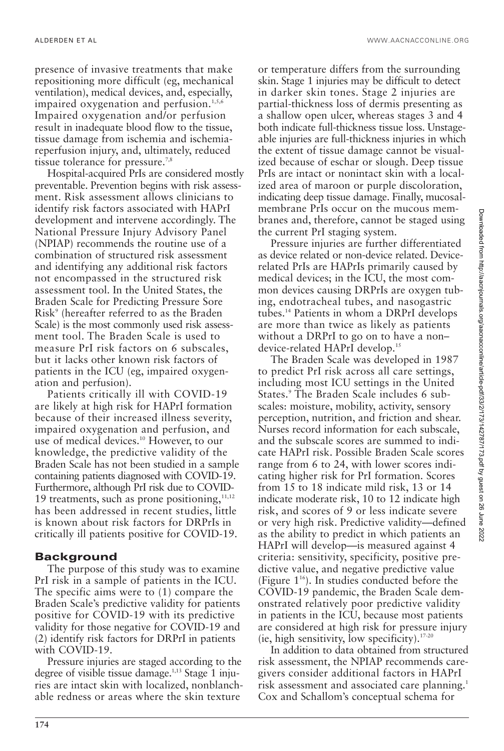presence of invasive treatments that make repositioning more difficult (eg, mechanical ventilation), medical devices, and, especially, impaired oxygenation and perfusion.<sup>1,5,6</sup> Impaired oxygenation and/or perfusion result in inadequate blood flow to the tissue, tissue damage from ischemia and ischemiareperfusion injury, and, ultimately, reduced tissue tolerance for pressure.<sup>7,8</sup>

Hospital-acquired PrIs are considered mostly preventable. Prevention begins with risk assessment. Risk assessment allows clinicians to identify risk factors associated with HAPrI development and intervene accordingly. The National Pressure Injury Advisory Panel (NPIAP) recommends the routine use of a combination of structured risk assessment and identifying any additional risk factors not encompassed in the structured risk assessment tool. In the United States, the Braden Scale for Predicting Pressure Sore Risk9 (hereafter referred to as the Braden Scale) is the most commonly used risk assessment tool. The Braden Scale is used to measure PrI risk factors on 6 subscales, but it lacks other known risk factors of patients in the ICU (eg, impaired oxygenation and perfusion).

Patients critically ill with COVID-19 are likely at high risk for HAPrI formation because of their increased illness severity, impaired oxygenation and perfusion, and use of medical devices.<sup>10</sup> However, to our knowledge, the predictive validity of the Braden Scale has not been studied in a sample containing patients diagnosed with COVID-19. Furthermore, although PrI risk due to COVID-19 treatments, such as prone positioning, $11,12$ has been addressed in recent studies, little is known about risk factors for DRPrIs in critically ill patients positive for COVID-19.

### **Background**

The purpose of this study was to examine PrI risk in a sample of patients in the ICU. The specific aims were to (1) compare the Braden Scale's predictive validity for patients positive for COVID-19 with its predictive validity for those negative for COVID-19 and (2) identify risk factors for DRPrI in patients with COVID-19.

Pressure injuries are staged according to the degree of visible tissue damage.<sup>1,13</sup> Stage 1 injuries are intact skin with localized, nonblanchable redness or areas where the skin texture

or temperature differs from the surrounding skin. Stage 1 injuries may be difficult to detect in darker skin tones. Stage 2 injuries are partial-thickness loss of dermis presenting as a shallow open ulcer, whereas stages 3 and 4 both indicate full-thickness tissue loss. Unstageable injuries are full-thickness injuries in which the extent of tissue damage cannot be visualized because of eschar or slough. Deep tissue PrIs are intact or nonintact skin with a localized area of maroon or purple discoloration, indicating deep tissue damage. Finally, mucosalmembrane PrIs occur on the mucous membranes and, therefore, cannot be staged using the current PrI staging system.

Pressure injuries are further differentiated as device related or non-device related. Devicerelated PrIs are HAPrIs primarily caused by medical devices; in the ICU, the most common devices causing DRPrIs are oxygen tubing, endotracheal tubes, and nasogastric tubes.14 Patients in whom a DRPrI develops are more than twice as likely as patients without a DRPrI to go on to have a non– device-related HAPrI develop.15

The Braden Scale was developed in 1987 to predict PrI risk across all care settings, including most ICU settings in the United States.9 The Braden Scale includes 6 subscales: moisture, mobility, activity, sensory perception, nutrition, and friction and shear. Nurses record information for each subscale, and the subscale scores are summed to indicate HAPrI risk. Possible Braden Scale scores range from 6 to 24, with lower scores indicating higher risk for PrI formation. Scores from 15 to 18 indicate mild risk, 13 or 14 indicate moderate risk, 10 to 12 indicate high risk, and scores of 9 or less indicate severe or very high risk. Predictive validity—defined as the ability to predict in which patients an HAPrI will develop—is measured against 4 criteria: sensitivity, specificity, positive predictive value, and negative predictive value (Figure  $1^{16}$ ). In studies conducted before the COVID-19 pandemic, the Braden Scale demonstrated relatively poor predictive validity in patients in the ICU, because most patients are considered at high risk for pressure injury (ie, high sensitivity, low specificity). $17-20$ 

In addition to data obtained from structured risk assessment, the NPIAP recommends caregivers consider additional factors in HAPrI risk assessment and associated care planning.<sup>1</sup> Cox and Schallom's conceptual schema for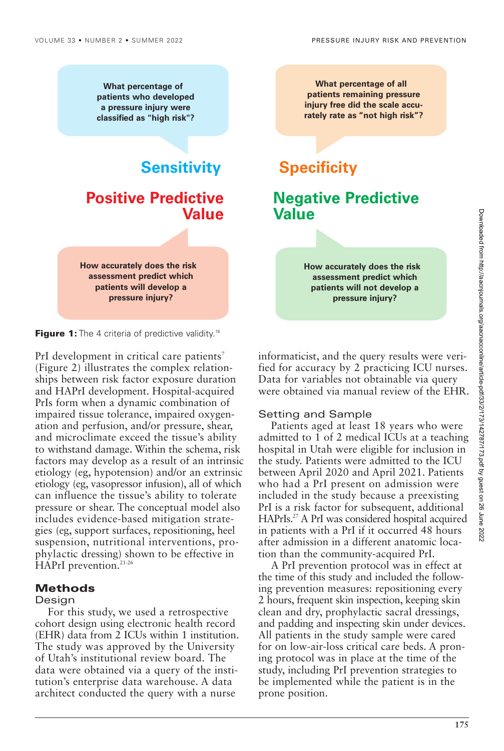**What percentage of patients who developed a pressure injury were classified as "high risk"?**

**Sensitivity Specificity Positive Predictive Value**

**How accurately does the risk assessment predict which patients will develop a pressure injury?**

**Figure 1:** The 4 criteria of predictive validity.<sup>16</sup>

PrI development in critical care patients<sup>7</sup> (Figure 2) illustrates the complex relationships between risk factor exposure duration and HAPrI development. Hospital-acquired PrIs form when a dynamic combination of impaired tissue tolerance, impaired oxygenation and perfusion, and/or pressure, shear, and microclimate exceed the tissue's ability to withstand damage. Within the schema, risk factors may develop as a result of an intrinsic etiology (eg, hypotension) and/or an extrinsic etiology (eg, vasopressor infusion), all of which can influence the tissue's ability to tolerate pressure or shear. The conceptual model also includes evidence-based mitigation strategies (eg, support surfaces, repositioning, heel suspension, nutritional interventions, prophylactic dressing) shown to be effective in HAPrI prevention.<sup>21-26</sup>

#### **Methods**

#### Design

For this study, we used a retrospective cohort design using electronic health record (EHR) data from 2 ICUs within 1 institution. The study was approved by the University of Utah's institutional review board. The data were obtained via a query of the institution's enterprise data warehouse. A data architect conducted the query with a nurse

**What percentage of all patients remaining pressure injury free did the scale accurately rate as "not high risk"?**

## **Negative Predictive Value**

**How accurately does the risk assessment predict which patients will not develop a pressure injury?**

informaticist, and the query results were verified for accuracy by 2 practicing ICU nurses. Data for variables not obtainable via query were obtained via manual review of the EHR.

#### Setting and Sample

Patients aged at least 18 years who were admitted to 1 of 2 medical ICUs at a teaching hospital in Utah were eligible for inclusion in the study. Patients were admitted to the ICU between April 2020 and April 2021. Patients who had a PrI present on admission were included in the study because a preexisting PrI is a risk factor for subsequent, additional HAPrIs.27 A PrI was considered hospital acquired in patients with a PrI if it occurred 48 hours after admission in a different anatomic location than the community-acquired PrI.

A PrI prevention protocol was in effect at the time of this study and included the following prevention measures: repositioning every 2 hours, frequent skin inspection, keeping skin clean and dry, prophylactic sacral dressings, and padding and inspecting skin under devices. All patients in the study sample were cared for on low-air-loss critical care beds. A proning protocol was in place at the time of the study, including PrI prevention strategies to be implemented while the patient is in the prone position.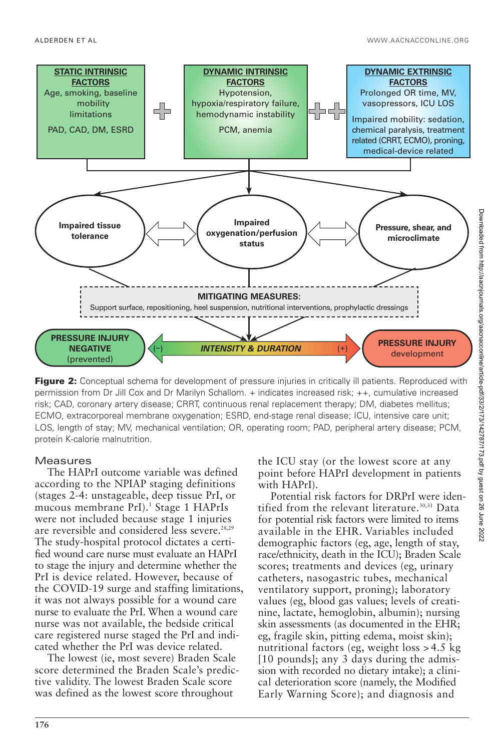

**Figure 2:** Conceptual schema for development of pressure injuries in critically ill patients. Reproduced with permission from Dr Jill Cox and Dr Marilyn Schallom. + indicates increased risk; ++, cumulative increased risk; CAD, coronary artery disease; CRRT, continuous renal replacement therapy; DM, diabetes mellitus; ECMO, extracorporeal membrane oxygenation; ESRD, end-stage renal disease; ICU, intensive care unit; LOS, length of stay; MV, mechanical ventilation; OR, operating room; PAD, peripheral artery disease; PCM, protein K-calorie malnutrition.

#### **Measures**

The HAPrI outcome variable was defined according to the NPIAP staging definitions (stages 2-4: unstageable, deep tissue PrI, or mucous membrane PrI).<sup>1</sup> Stage 1 HAPrIs were not included because stage 1 injuries are reversible and considered less severe.<sup>28,29</sup> The study-hospital protocol dictates a certified wound care nurse must evaluate an HAPrI to stage the injury and determine whether the PrI is device related. However, because of the COVID-19 surge and staffing limitations, it was not always possible for a wound care nurse to evaluate the PrI. When a wound care nurse was not available, the bedside critical care registered nurse staged the PrI and indicated whether the PrI was device related.

The lowest (ie, most severe) Braden Scale score determined the Braden Scale's predictive validity. The lowest Braden Scale score was defined as the lowest score throughout

the ICU stay (or the lowest score at any point before HAPrI development in patients with HAPrI).

Potential risk factors for DRPrI were identified from the relevant literature.<sup>30,31</sup> Data for potential risk factors were limited to items available in the EHR. Variables included demographic factors (eg, age, length of stay, race/ethnicity, death in the ICU); Braden Scale scores; treatments and devices (eg, urinary catheters, nasogastric tubes, mechanical ventilatory support, proning); laboratory values (eg, blood gas values; levels of creatinine, lactate, hemoglobin, albumin); nursing skin assessments (as documented in the EHR; eg, fragile skin, pitting edema, moist skin); nutritional factors (eg, weight loss > 4.5 kg [10 pounds]; any 3 days during the admission with recorded no dietary intake); a clinical deterioration score (namely, the Modified Early Warning Score); and diagnosis and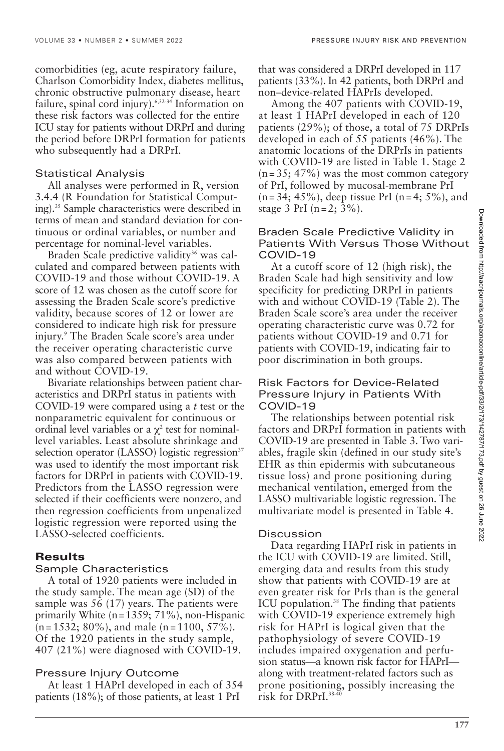comorbidities (eg, acute respiratory failure, Charlson Comorbidity Index, diabetes mellitus, chronic obstructive pulmonary disease, heart failure, spinal cord injury).6,32-34 Information on these risk factors was collected for the entire ICU stay for patients without DRPrI and during the period before DRPrI formation for patients who subsequently had a DRPrI.

#### Statistical Analysis

All analyses were performed in R, version 3.4.4 (R Foundation for Statistical Computing).35 Sample characteristics were described in terms of mean and standard deviation for continuous or ordinal variables, or number and percentage for nominal-level variables.

Braden Scale predictive validity<sup>36</sup> was calculated and compared between patients with COVID-19 and those without COVID-19. A score of 12 was chosen as the cutoff score for assessing the Braden Scale score's predictive validity, because scores of 12 or lower are considered to indicate high risk for pressure injury.9 The Braden Scale score's area under the receiver operating characteristic curve was also compared between patients with and without COVID-19.

Bivariate relationships between patient characteristics and DRPrI status in patients with COVID-19 were compared using a *t* test or the nonparametric equivalent for continuous or ordinal level variables or a  $\chi^2$  test for nominallevel variables. Least absolute shrinkage and selection operator (LASSO) logistic regression $37$ was used to identify the most important risk factors for DRPrI in patients with COVID-19. Predictors from the LASSO regression were selected if their coefficients were nonzero, and then regression coefficients from unpenalized logistic regression were reported using the LASSO-selected coefficients.

#### **Results**

#### Sample Characteristics

A total of 1920 patients were included in the study sample. The mean age (SD) of the sample was 56 (17) years. The patients were primarily White  $(n = 1359; 71\%)$ , non-Hispanic  $(n = 1532; 80\%)$ , and male  $(n = 1100, 57\%)$ . Of the 1920 patients in the study sample, 407 (21%) were diagnosed with COVID-19.

#### Pressure Injury Outcome

At least 1 HAPrI developed in each of 354 patients (18%); of those patients, at least 1 PrI

that was considered a DRPrI developed in 117 patients (33%). In 42 patients, both DRPrI and non–device-related HAPrIs developed.

Among the 407 patients with COVID-19, at least 1 HAPrI developed in each of 120 patients (29%); of those, a total of 75 DRPrIs developed in each of 55 patients (46%). The anatomic locations of the DRPrIs in patients with COVID-19 are listed in Table 1. Stage 2  $(n=35; 47%)$  was the most common category of PrI, followed by mucosal-membrane PrI  $(n = 34; 45\%)$ , deep tissue PrI  $(n = 4; 5\%)$ , and stage 3 PrI ( $n = 2$ ; 3%).

#### Braden Scale Predictive Validity in Patients With Versus Those Without COVID-19

At a cutoff score of 12 (high risk), the Braden Scale had high sensitivity and low specificity for predicting DRPrI in patients with and without COVID-19 (Table 2). The Braden Scale score's area under the receiver operating characteristic curve was 0.72 for patients without COVID-19 and 0.71 for patients with COVID-19, indicating fair to poor discrimination in both groups.

#### Risk Factors for Device-Related Pressure Injury in Patients With COVID-19

The relationships between potential risk factors and DRPrI formation in patients with COVID-19 are presented in Table 3. Two variables, fragile skin (defined in our study site's EHR as thin epidermis with subcutaneous tissue loss) and prone positioning during mechanical ventilation, emerged from the LASSO multivariable logistic regression. The multivariate model is presented in Table 4.

#### **Discussion**

Data regarding HAPrI risk in patients in the ICU with COVID-19 are limited. Still, emerging data and results from this study show that patients with COVID-19 are at even greater risk for PrIs than is the general ICU population.<sup>38</sup> The finding that patients with COVID-19 experience extremely high risk for HAPrI is logical given that the pathophysiology of severe COVID-19 includes impaired oxygenation and perfusion status—a known risk factor for HAPrI along with treatment-related factors such as prone positioning, possibly increasing the risk for DRPrI.38-40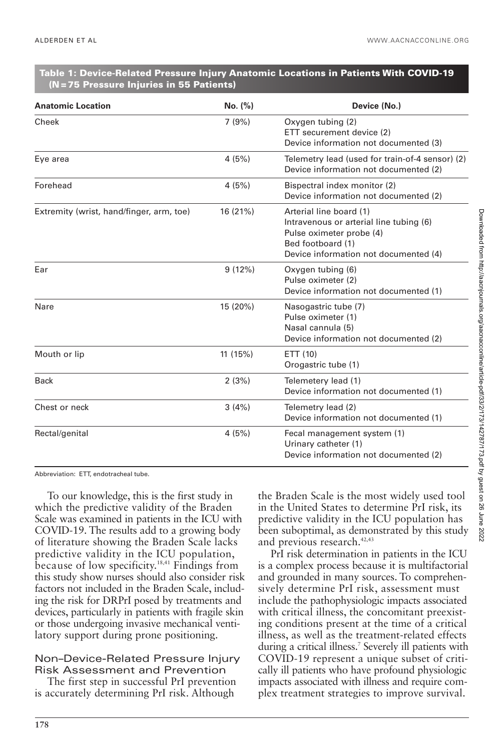#### **Table 1: Device-Related Pressure Injury Anatomic Locations in Patients With COVID-19 (N = 75 Pressure Injuries in 55 Patients)**

| <b>Anatomic Location</b>                 | No. (%)  | Device (No.)                                                                                                                                                 |
|------------------------------------------|----------|--------------------------------------------------------------------------------------------------------------------------------------------------------------|
| Cheek                                    | 7(9%)    | Oxygen tubing (2)<br>ETT securement device (2)<br>Device information not documented (3)                                                                      |
| Eye area                                 | 4(5%)    | Telemetry lead (used for train-of-4 sensor) (2)<br>Device information not documented (2)                                                                     |
| Forehead                                 | 4(5%)    | Bispectral index monitor (2)<br>Device information not documented (2)                                                                                        |
| Extremity (wrist, hand/finger, arm, toe) | 16 (21%) | Arterial line board (1)<br>Intravenous or arterial line tubing (6)<br>Pulse oximeter probe (4)<br>Bed footboard (1)<br>Device information not documented (4) |
| Ear                                      | 9(12%)   | Oxygen tubing (6)<br>Pulse oximeter (2)<br>Device information not documented (1)                                                                             |
| Nare                                     | 15 (20%) | Nasogastric tube (7)<br>Pulse oximeter (1)<br>Nasal cannula (5)<br>Device information not documented (2)                                                     |
| Mouth or lip                             | 11 (15%) | ETT (10)<br>Orogastric tube (1)                                                                                                                              |
| <b>Back</b>                              | 2(3%)    | Telemetery lead (1)<br>Device information not documented (1)                                                                                                 |
| Chest or neck                            | 3(4%)    | Telemetry lead (2)<br>Device information not documented (1)                                                                                                  |
| Rectal/genital                           | 4(5%)    | Fecal management system (1)<br>Urinary catheter (1)<br>Device information not documented (2)                                                                 |

Abbreviation: ETT, endotracheal tube.

To our knowledge, this is the first study in which the predictive validity of the Braden Scale was examined in patients in the ICU with COVID-19. The results add to a growing body of literature showing the Braden Scale lacks predictive validity in the ICU population, because of low specificity.<sup>18,41</sup> Findings from this study show nurses should also consider risk factors not included in the Braden Scale, including the risk for DRPrI posed by treatments and devices, particularly in patients with fragile skin or those undergoing invasive mechanical ventilatory support during prone positioning.

#### Non–Device-Related Pressure Injury Risk Assessment and Prevention

The first step in successful PrI prevention is accurately determining PrI risk. Although

the Braden Scale is the most widely used tool in the United States to determine PrI risk, its predictive validity in the ICU population has been suboptimal, as demonstrated by this study and previous research.<sup>42,43</sup>

PrI risk determination in patients in the ICU is a complex process because it is multifactorial and grounded in many sources. To comprehensively determine PrI risk, assessment must include the pathophysiologic impacts associated with critical illness, the concomitant preexisting conditions present at the time of a critical illness, as well as the treatment-related effects during a critical illness.7 Severely ill patients with COVID-19 represent a unique subset of critically ill patients who have profound physiologic impacts associated with illness and require complex treatment strategies to improve survival.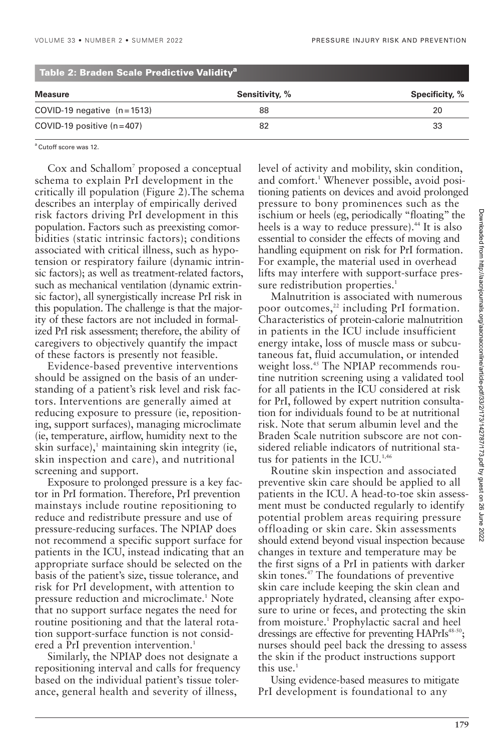| <b>Measure</b>               | Sensitivity, % | Specificity, % |
|------------------------------|----------------|----------------|
|                              |                |                |
| COVID-19 negative $(n=1513)$ | 88             | 20             |
| COVID-19 positive $(n=407)$  | 82             | 33             |

#### **Table 2: Braden Scale Predictive Validitya**

<sup>a</sup> Cutoff score was 12.

Cox and Schallom<sup>7</sup> proposed a conceptual schema to explain PrI development in the critically ill population (Figure 2).The schema describes an interplay of empirically derived risk factors driving PrI development in this population. Factors such as preexisting comorbidities (static intrinsic factors); conditions associated with critical illness, such as hypotension or respiratory failure (dynamic intrinsic factors); as well as treatment-related factors, such as mechanical ventilation (dynamic extrinsic factor), all synergistically increase PrI risk in this population. The challenge is that the majority of these factors are not included in formalized PrI risk assessment; therefore, the ability of caregivers to objectively quantify the impact of these factors is presently not feasible.

Evidence-based preventive interventions should be assigned on the basis of an understanding of a patient's risk level and risk factors. Interventions are generally aimed at reducing exposure to pressure (ie, repositioning, support surfaces), managing microclimate (ie, temperature, airflow, humidity next to the skin surface),<sup>1</sup> maintaining skin integrity (ie, skin inspection and care), and nutritional screening and support.

Exposure to prolonged pressure is a key factor in PrI formation. Therefore, PrI prevention mainstays include routine repositioning to reduce and redistribute pressure and use of pressure-reducing surfaces. The NPIAP does not recommend a specific support surface for patients in the ICU, instead indicating that an appropriate surface should be selected on the basis of the patient's size, tissue tolerance, and risk for PrI development, with attention to pressure reduction and microclimate.<sup>1</sup> Note that no support surface negates the need for routine positioning and that the lateral rotation support-surface function is not considered a PrI prevention intervention.<sup>1</sup>

Similarly, the NPIAP does not designate a repositioning interval and calls for frequency based on the individual patient's tissue tolerance, general health and severity of illness,

level of activity and mobility, skin condition, and comfort.1 Whenever possible, avoid positioning patients on devices and avoid prolonged pressure to bony prominences such as the ischium or heels (eg, periodically "floating" the heels is a way to reduce pressure).<sup>44</sup> It is also essential to consider the effects of moving and handling equipment on risk for PrI formation. For example, the material used in overhead lifts may interfere with support-surface pressure redistribution properties.<sup>1</sup>

Malnutrition is associated with numerous poor outcomes,<sup>22</sup> including PrI formation. Characteristics of protein-calorie malnutrition in patients in the ICU include insufficient energy intake, loss of muscle mass or subcutaneous fat, fluid accumulation, or intended weight loss.<sup>45</sup> The NPIAP recommends routine nutrition screening using a validated tool for all patients in the ICU considered at risk for PrI, followed by expert nutrition consultation for individuals found to be at nutritional risk. Note that serum albumin level and the Braden Scale nutrition subscore are not considered reliable indicators of nutritional status for patients in the ICU. $1,46$ 

Routine skin inspection and associated preventive skin care should be applied to all patients in the ICU. A head-to-toe skin assessment must be conducted regularly to identify potential problem areas requiring pressure offloading or skin care. Skin assessments should extend beyond visual inspection because changes in texture and temperature may be the first signs of a PrI in patients with darker skin tones.<sup>47</sup> The foundations of preventive skin care include keeping the skin clean and appropriately hydrated, cleansing after exposure to urine or feces, and protecting the skin from moisture.<sup>1</sup> Prophylactic sacral and heel dressings are effective for preventing HAPrIs<sup>48-50</sup>; nurses should peel back the dressing to assess the skin if the product instructions support this use. $<sup>1</sup>$ </sup>

Using evidence-based measures to mitigate PrI development is foundational to any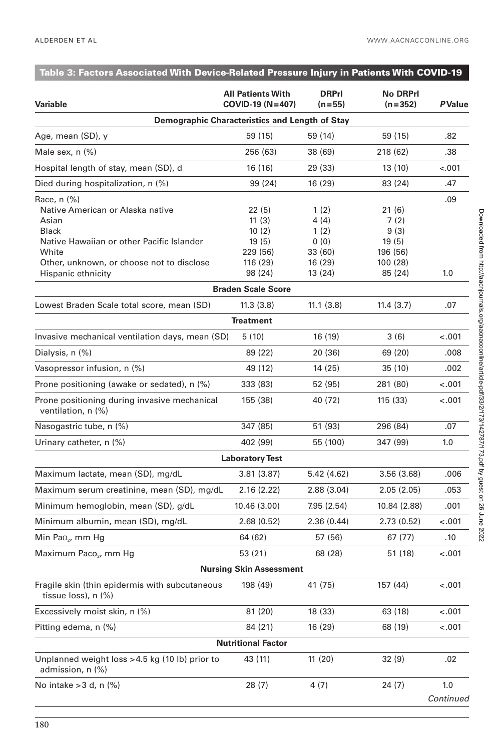| Table 3: Factors Associated With Device-Related Pressure Injury in Patients With COVID-19                                                                                   |                                                           |                                                     |                                                        |                  |
|-----------------------------------------------------------------------------------------------------------------------------------------------------------------------------|-----------------------------------------------------------|-----------------------------------------------------|--------------------------------------------------------|------------------|
| Variable                                                                                                                                                                    | <b>All Patients With</b><br>$COVID-19 (N=407)$            | <b>DRPrI</b><br>$(n=55)$                            | <b>No DRPrl</b><br>$(n=352)$                           | <b>PValue</b>    |
|                                                                                                                                                                             | Demographic Characteristics and Length of Stay            |                                                     |                                                        |                  |
| Age, mean (SD), y                                                                                                                                                           | 59 (15)                                                   | 59 (14)                                             | 59 (15)                                                | .82              |
| Male sex, $n$ $(\%)$                                                                                                                                                        | 256 (63)                                                  | 38 (69)                                             | 218 (62)                                               | .38              |
| Hospital length of stay, mean (SD), d                                                                                                                                       | 16 (16)                                                   | 29 (33)                                             | 13 (10)                                                | $-.001$          |
| Died during hospitalization, n (%)                                                                                                                                          | 99 (24)                                                   | 16(29)                                              | 83 (24)                                                | .47              |
| Race, n (%)<br>Native American or Alaska native<br>Asian<br><b>Black</b><br>Native Hawaiian or other Pacific Islander<br>White<br>Other, unknown, or choose not to disclose | 22 (5)<br>11(3)<br>10(2)<br>19(5)<br>229 (56)<br>116 (29) | 1(2)<br>4 (4)<br>1(2)<br>0(0)<br>33 (60)<br>16 (29) | 21 (6)<br>7(2)<br>9(3)<br>19(5)<br>196 (56)<br>100(28) | .09              |
| Hispanic ethnicity                                                                                                                                                          | 98 (24)                                                   | 13 (24)                                             | 85 (24)                                                | 1.0              |
|                                                                                                                                                                             | <b>Braden Scale Score</b>                                 |                                                     |                                                        |                  |
| Lowest Braden Scale total score, mean (SD)                                                                                                                                  | 11.3(3.8)                                                 | 11.1(3.8)                                           | 11.4(3.7)                                              | .07              |
|                                                                                                                                                                             | <b>Treatment</b>                                          |                                                     |                                                        |                  |
| Invasive mechanical ventilation days, mean (SD)                                                                                                                             | 5(10)                                                     | 16 (19)                                             | 3(6)                                                   | $-.001$          |
| Dialysis, n (%)                                                                                                                                                             | 89 (22)                                                   | 20 (36)                                             | 69 (20)                                                | .008             |
| Vasopressor infusion, n (%)                                                                                                                                                 | 49 (12)                                                   | 14 (25)                                             | 35 (10)                                                | .002             |
| Prone positioning (awake or sedated), n (%)                                                                                                                                 | 333 (83)                                                  | 52 (95)                                             | 281 (80)                                               | $-.001$          |
| Prone positioning during invasive mechanical<br>ventilation, n (%)                                                                                                          | 155 (38)                                                  | 40 (72)                                             | 115(33)                                                | $-.001$          |
| Nasogastric tube, n (%)                                                                                                                                                     | 347 (85)                                                  | 51 (93)                                             | 296 (84)                                               | .07              |
| Urinary catheter, n (%)                                                                                                                                                     | 402 (99)                                                  | 55 (100)                                            | 347 (99)                                               | 1.0              |
|                                                                                                                                                                             | <b>Laboratory Test</b>                                    |                                                     |                                                        |                  |
| Maximum lactate, mean (SD), mg/dL                                                                                                                                           | 3.81(3.87)                                                | 5.42 (4.62)                                         | 3.56(3.68)                                             | .006             |
| Maximum serum creatinine, mean (SD), mg/dL                                                                                                                                  | 2.16(2.22)                                                | 2.88(3.04)                                          | 2.05(2.05)                                             | .053             |
| Minimum hemoglobin, mean (SD), g/dL                                                                                                                                         | 10.46 (3.00)                                              | 7.95 (2.54)                                         | 10.84 (2.88)                                           | .001             |
| Minimum albumin, mean (SD), mg/dL                                                                                                                                           | 2.68(0.52)                                                | 2.36(0.44)                                          | 2.73(0.52)                                             | $-.001$          |
| Min Pao <sub>2</sub> , mm Hg                                                                                                                                                | 64 (62)                                                   | 57 (56)                                             | 67 (77)                                                | .10              |
| Maximum Paco <sub>2</sub> , mm Hg                                                                                                                                           | 53 (21)                                                   | 68 (28)                                             | 51 (18)                                                | $-.001$          |
|                                                                                                                                                                             | <b>Nursing Skin Assessment</b>                            |                                                     |                                                        |                  |
| Fragile skin (thin epidermis with subcutaneous<br>tissue loss), n (%)                                                                                                       | 198 (49)                                                  | 41 (75)                                             | 157 (44)                                               | $-.001$          |
| Excessively moist skin, n (%)                                                                                                                                               | 81 (20)                                                   | 18 (33)                                             | 63 (18)                                                | $-.001$          |
| Pitting edema, n (%)                                                                                                                                                        | 84 (21)                                                   | 16 (29)                                             | 68 (19)                                                | $-.001$          |
|                                                                                                                                                                             | <b>Nutritional Factor</b>                                 |                                                     |                                                        |                  |
| Unplanned weight loss > 4.5 kg (10 lb) prior to<br>admission, n (%)                                                                                                         | 43 (11)                                                   | 11(20)                                              | 32(9)                                                  | .02              |
| No intake $>$ 3 d, n $(\%)$                                                                                                                                                 | 28(7)                                                     | 4 (7)                                               | 24 (7)                                                 | 1.0<br>Continued |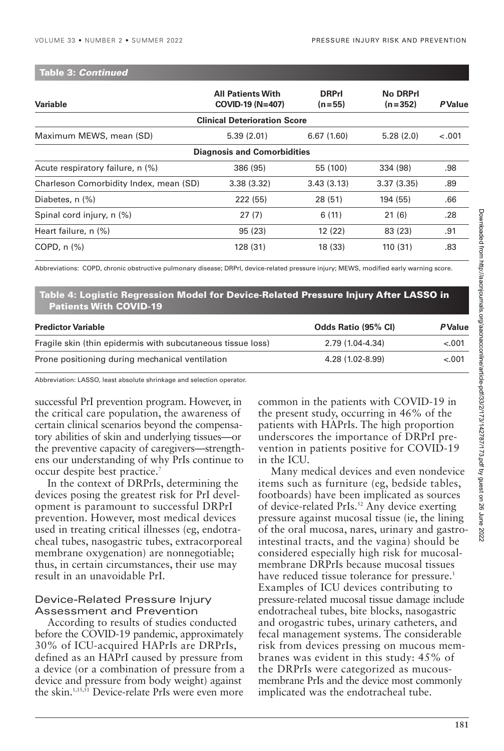#### **Table 3:** *Continued*

| Variable                               | <b>All Patients With</b><br>COVID-19 (N=407) | <b>DRPrl</b><br>$(n=55)$ | <b>No DRPrl</b><br>$(n=352)$ | <b>PValue</b> |
|----------------------------------------|----------------------------------------------|--------------------------|------------------------------|---------------|
|                                        | <b>Clinical Deterioration Score</b>          |                          |                              |               |
| Maximum MEWS, mean (SD)                | 5.39(2.01)                                   | 6.67(1.60)               | 5.28(2.0)                    | $-.001$       |
|                                        | <b>Diagnosis and Comorbidities</b>           |                          |                              |               |
| Acute respiratory failure, n (%)       | 386 (95)                                     | 55 (100)                 | 334 (98)                     | .98           |
| Charleson Comorbidity Index, mean (SD) | 3.38(3.32)                                   | 3.43(3.13)               | 3.37(3.35)                   | .89           |
| Diabetes, $n$ $(\%)$                   | 222 (55)                                     | 28 (51)                  | 194 (55)                     | .66           |
| Spinal cord injury, n (%)              | 27(7)                                        | 6(11)                    | 21(6)                        | .28           |
| Heart failure, n (%)                   | 95 (23)                                      | 12 (22)                  | 83 (23)                      | .91           |
| COPD, $n$ $%$                          | 128(31)                                      | 18 (33)                  | 110(31)                      | .83           |

Abbreviations: COPD, chronic obstructive pulmonary disease; DRPrI, device-related pressure injury; MEWS, modified early warning score.

#### **Table 4: Logistic Regression Model for Device-Related Pressure Injury After LASSO in Patients With COVID-19**

| <b>Predictor Variable</b>                                   | Odds Ratio (95% CI) | <b>PValue</b> |  |
|-------------------------------------------------------------|---------------------|---------------|--|
| Fragile skin (thin epidermis with subcutaneous tissue loss) | 2.79 (1.04-4.34)    | $-.001$       |  |
| Prone positioning during mechanical ventilation             | 4.28 (1.02-8.99)    | $-.001$       |  |

Abbreviation: LASSO, least absolute shrinkage and selection operator.

successful PrI prevention program. However, in the critical care population, the awareness of certain clinical scenarios beyond the compensatory abilities of skin and underlying tissues—or the preventive capacity of caregivers—strengthens our understanding of why PrIs continue to occur despite best practice.7

In the context of DRPrIs, determining the devices posing the greatest risk for PrI development is paramount to successful DRPrI prevention. However, most medical devices used in treating critical illnesses (eg, endotracheal tubes, nasogastric tubes, extracorporeal membrane oxygenation) are nonnegotiable; thus, in certain circumstances, their use may result in an unavoidable PrI.

#### Device-Related Pressure Injury Assessment and Prevention

According to results of studies conducted before the COVID-19 pandemic, approximately 30% of ICU-acquired HAPrIs are DRPrIs, defined as an HAPrI caused by pressure from a device (or a combination of pressure from a device and pressure from body weight) against the skin.<sup>1,15,51</sup> Device-relate PrIs were even more

common in the patients with COVID-19 in the present study, occurring in 46% of the patients with HAPrIs. The high proportion underscores the importance of DRPrI prevention in patients positive for COVID-19 in the ICU.

Many medical devices and even nondevice items such as furniture (eg, bedside tables, footboards) have been implicated as sources of device-related PrIs.<sup>52</sup> Any device exerting pressure against mucosal tissue (ie, the lining of the oral mucosa, nares, urinary and gastrointestinal tracts, and the vagina) should be considered especially high risk for mucosalmembrane DRPrIs because mucosal tissues have reduced tissue tolerance for pressure.<sup>1</sup> Examples of ICU devices contributing to pressure-related mucosal tissue damage include endotracheal tubes, bite blocks, nasogastric and orogastric tubes, urinary catheters, and fecal management systems. The considerable risk from devices pressing on mucous membranes was evident in this study: 45% of the DRPrIs were categorized as mucousmembrane PrIs and the device most commonly implicated was the endotracheal tube.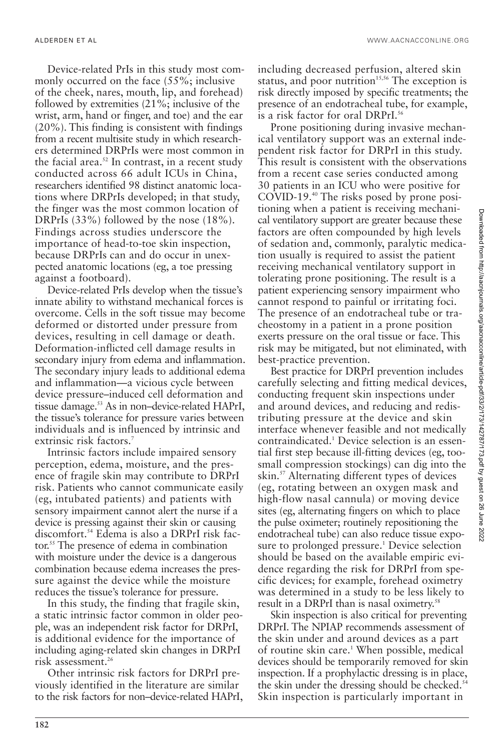Device-related PrIs in this study most commonly occurred on the face (55%; inclusive of the cheek, nares, mouth, lip, and forehead) followed by extremities (21%; inclusive of the wrist, arm, hand or finger, and toe) and the ear (20%). This finding is consistent with findings from a recent multisite study in which researchers determined DRPrIs were most common in the facial area. $52$  In contrast, in a recent study conducted across 66 adult ICUs in China, researchers identified 98 distinct anatomic locations where DRPrIs developed; in that study, the finger was the most common location of DRPrIs (33%) followed by the nose (18%). Findings across studies underscore the importance of head-to-toe skin inspection, because DRPrIs can and do occur in unexpected anatomic locations (eg, a toe pressing against a footboard).

Device-related PrIs develop when the tissue's innate ability to withstand mechanical forces is overcome. Cells in the soft tissue may become deformed or distorted under pressure from devices, resulting in cell damage or death. Deformation-inflicted cell damage results in secondary injury from edema and inflammation. The secondary injury leads to additional edema and inflammation—a vicious cycle between device pressure–induced cell deformation and tissue damage.<sup>53</sup> As in non–device-related HAPrI, the tissue's tolerance for pressure varies between individuals and is influenced by intrinsic and extrinsic risk factors.<sup>7</sup>

Intrinsic factors include impaired sensory perception, edema, moisture, and the presence of fragile skin may contribute to DRPrI risk. Patients who cannot communicate easily (eg, intubated patients) and patients with sensory impairment cannot alert the nurse if a device is pressing against their skin or causing discomfort.54 Edema is also a DRPrI risk factor.55 The presence of edema in combination with moisture under the device is a dangerous combination because edema increases the pressure against the device while the moisture reduces the tissue's tolerance for pressure.

In this study, the finding that fragile skin, a static intrinsic factor common in older people, was an independent risk factor for DRPrI, is additional evidence for the importance of including aging-related skin changes in DRPrI risk assessment.26

Other intrinsic risk factors for DRPrI previously identified in the literature are similar to the risk factors for non–device-related HAPrI, including decreased perfusion, altered skin status, and poor nutrition<sup>15,56</sup> The exception is risk directly imposed by specific treatments; the presence of an endotracheal tube, for example, is a risk factor for oral DRPrI.<sup>56</sup>

Prone positioning during invasive mechanical ventilatory support was an external independent risk factor for DRPrI in this study. This result is consistent with the observations from a recent case series conducted among 30 patients in an ICU who were positive for COVID-19.40 The risks posed by prone positioning when a patient is receiving mechanical ventilatory support are greater because these factors are often compounded by high levels of sedation and, commonly, paralytic medication usually is required to assist the patient receiving mechanical ventilatory support in tolerating prone positioning. The result is a patient experiencing sensory impairment who cannot respond to painful or irritating foci. The presence of an endotracheal tube or tracheostomy in a patient in a prone position exerts pressure on the oral tissue or face. This risk may be mitigated, but not eliminated, with best-practice prevention.

Best practice for DRPrI prevention includes carefully selecting and fitting medical devices, conducting frequent skin inspections under and around devices, and reducing and redistributing pressure at the device and skin interface whenever feasible and not medically contraindicated.1 Device selection is an essential first step because ill-fitting devices (eg, toosmall compression stockings) can dig into the skin.57 Alternating different types of devices (eg, rotating between an oxygen mask and high-flow nasal cannula) or moving device sites (eg, alternating fingers on which to place the pulse oximeter; routinely repositioning the endotracheal tube) can also reduce tissue exposure to prolonged pressure.<sup>1</sup> Device selection should be based on the available empiric evidence regarding the risk for DRPrI from specific devices; for example, forehead oximetry was determined in a study to be less likely to result in a DRPrI than is nasal oximetry.<sup>58</sup>

Skin inspection is also critical for preventing DRPrI. The NPIAP recommends assessment of the skin under and around devices as a part of routine skin care.<sup>1</sup> When possible, medical devices should be temporarily removed for skin inspection. If a prophylactic dressing is in place, the skin under the dressing should be checked.<sup>54</sup> Skin inspection is particularly important in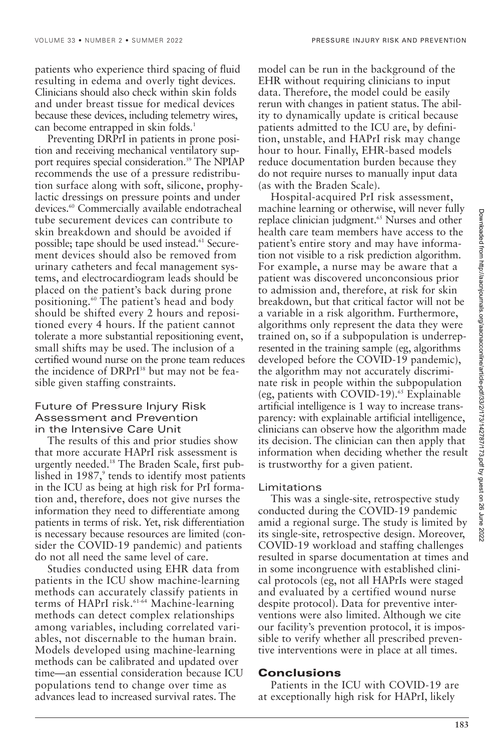VOLUME 33 • NUMBER 2 • SUMMER 2022 PRESSURE INJURY RISK AND PREVENTION

patients who experience third spacing of fluid resulting in edema and overly tight devices. Clinicians should also check within skin folds and under breast tissue for medical devices because these devices, including telemetry wires, can become entrapped in skin folds.<sup>1</sup>

Preventing DRPrI in patients in prone position and receiving mechanical ventilatory support requires special consideration.<sup>59</sup> The NPIAP recommends the use of a pressure redistribution surface along with soft, silicone, prophylactic dressings on pressure points and under devices.<sup>60</sup> Commercially available endotracheal tube securement devices can contribute to skin breakdown and should be avoided if possible; tape should be used instead.<sup>61</sup> Securement devices should also be removed from urinary catheters and fecal management systems, and electrocardiogram leads should be placed on the patient's back during prone positioning.<sup>60</sup> The patient's head and body should be shifted every 2 hours and repositioned every 4 hours. If the patient cannot tolerate a more substantial repositioning event, small shifts may be used. The inclusion of a certified wound nurse on the prone team reduces the incidence of DRPrI<sup>38</sup> but may not be feasible given staffing constraints.

#### Future of Pressure Injury Risk Assessment and Prevention in the Intensive Care Unit

The results of this and prior studies show that more accurate HAPrI risk assessment is urgently needed.18 The Braden Scale, first published in 1987,<sup>9</sup> tends to identify most patients in the ICU as being at high risk for PrI formation and, therefore, does not give nurses the information they need to differentiate among patients in terms of risk. Yet, risk differentiation is necessary because resources are limited (consider the COVID-19 pandemic) and patients do not all need the same level of care.

Studies conducted using EHR data from patients in the ICU show machine-learning methods can accurately classify patients in terms of HAPrI risk.<sup>61-64</sup> Machine-learning methods can detect complex relationships among variables, including correlated variables, not discernable to the human brain. Models developed using machine-learning methods can be calibrated and updated over time—an essential consideration because ICU populations tend to change over time as advances lead to increased survival rates. The

model can be run in the background of the EHR without requiring clinicians to input data. Therefore, the model could be easily rerun with changes in patient status. The ability to dynamically update is critical because patients admitted to the ICU are, by definition, unstable, and HAPrI risk may change hour to hour. Finally, EHR-based models reduce documentation burden because they do not require nurses to manually input data (as with the Braden Scale).

Hospital-acquired PrI risk assessment, machine learning or otherwise, will never fully replace clinician judgment.<sup>65</sup> Nurses and other health care team members have access to the patient's entire story and may have information not visible to a risk prediction algorithm. For example, a nurse may be aware that a patient was discovered unconconsious prior to admission and, therefore, at risk for skin breakdown, but that critical factor will not be a variable in a risk algorithm. Furthermore, algorithms only represent the data they were trained on, so if a subpopulation is underrepresented in the training sample (eg, algorithms developed before the COVID-19 pandemic), the algorithm may not accurately discriminate risk in people within the subpopulation (eg, patients with COVID-19). $55$  Explainable artificial intelligence is 1 way to increase transparency: with explainable artificial intelligence, clinicians can observe how the algorithm made its decision. The clinician can then apply that information when deciding whether the result is trustworthy for a given patient.

#### Limitations

This was a single-site, retrospective study conducted during the COVID-19 pandemic amid a regional surge. The study is limited by its single-site, retrospective design. Moreover, COVID-19 workload and staffing challenges resulted in sparse documentation at times and in some incongruence with established clinical protocols (eg, not all HAPrIs were staged and evaluated by a certified wound nurse despite protocol). Data for preventive interventions were also limited. Although we cite our facility's prevention protocol, it is impossible to verify whether all prescribed preventive interventions were in place at all times.

#### **Conclusions**

Patients in the ICU with COVID-19 are at exceptionally high risk for HAPrI, likely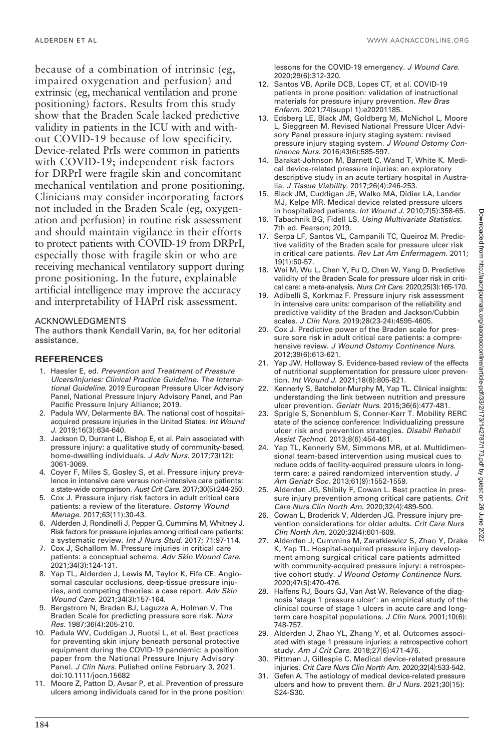ALDERDEN ET AL WWW.AACNACCONLINE.ORG

because of a combination of intrinsic (eg, impaired oxygenation and perfusion) and extrinsic (eg, mechanical ventilation and prone positioning) factors. Results from this study show that the Braden Scale lacked predictive validity in patients in the ICU with and without COVID-19 because of low specificity. Device-related PrIs were common in patients with COVID-19; independent risk factors for DRPrI were fragile skin and concomitant mechanical ventilation and prone positioning. Clinicians may consider incorporating factors not included in the Braden Scale (eg, oxygenation and perfusion) in routine risk assessment and should maintain vigilance in their efforts to protect patients with COVID-19 from DRPrI, especially those with fragile skin or who are receiving mechanical ventilatory support during prone positioning. In the future, explainable artificial intelligence may improve the accuracy and interpretability of HAPrI risk assessment.

#### ACKNOWLEDGMENTS

The authors thank Kendall Varin, BA, for her editorial assistance.

#### **REFERENCES**

- 1. Haesler E, ed. Prevention and Treatment of Pressure Ulcers/Injuries: Clinical Practice Guideline. The International Guideline. 2019 European Pressure Ulcer Advisory Panel, National Pressure Injury Advisory Panel, and Pan Pacific Pressure Injury Alliance; 2019.
- 2. Padula WV, Delarmente BA. The national cost of hospitalacquired pressure injuries in the United States. Int Wound J. 2019;16(3):634-640.
- 3. Jackson D, Durrant L, Bishop E, et al. Pain associated with pressure injury: a qualitative study of community-based, home-dwelling individuals. J Adv Nurs. 2017;73(12): 3061-3069.
- 4. Coyer F, Miles S, Gosley S, et al. Pressure injury prevalence in intensive care versus non-intensive care patients: a state-wide comparison. Aust Crit Care. 2017;30(5):244-250.
- 5. Cox J. Pressure injury risk factors in adult critical care patients: a review of the literature. Ostomy Wound Manage. 2017;63(11):30-43.
- 6. Alderden J, Rondinelli J, Pepper G, Cummins M, Whitney J. Risk factors for pressure injuries among critical care patients: a systematic review. Int J Nurs Stud. 2017; 71:97-114.
- 7. Cox J, Schallom M. Pressure injuries in critical care patients: a conceptual schema. Adv Skin Wound Care. 2021;34(3):124-131.
- 8. Yap TL, Alderden J, Lewis M, Taylor K, Fife CE. Angiosomal cascular occlusions, deep-tissue pressure injuries, and competing theories: a case report. Adv Skin Wound Care. 2021;34(3):157-164.
- 9. Bergstrom N, Braden BJ, Laguzza A, Holman V. The Braden Scale for predicting pressure sore risk. Nurs Res. 1987;36(4):205-210.
- 10. Padula WV, Cuddigan J, Ruotsi L, et al. Best practices for preventing skin injury beneath personal protective equipment during the COVID-19 pandemic: a position paper from the National Pressure Injury Advisory Panel. J Clin Nurs. Pulished online February 3, 2021. doi:10.1111/jocn.15682
- 11. Moore Z, Patton D, Avsar P, et al. Prevention of pressure ulcers among individuals cared for in the prone position:

lessons for the COVID-19 emergency. J Wound Care. 2020;29(6):312-320.

- 12. Santos VB, Aprile DCB, Lopes CT, et al. COVID-19 patients in prone position: validation of instructional materials for pressure injury prevention. Rev Bras Enferm. 2021;74(suppl 1):e20201185.
- 13. Edsberg LE, Black JM, Goldberg M, McNichol L, Moore L, Sieggreen M. Revised National Pressure Ulcer Advisory Panel pressure injury staging system: revised pressure injury staging system. J Wound Ostomy Continence Nurs. 2016;43(6):585-597.
- 14. Barakat-Johnson M, Barnett C, Wand T, White K. Medical device-related pressure injuries: an exploratory descriptive study in an acute tertiary hospital in Australia. J Tissue Viability. 2017;26(4):246-253.
- 15. Black JM, Cuddigan JE, Walko MA, Didier LA, Lander MJ, Kelpe MR. Medical device related pressure ulcers in hospitalized patients. Int Wound J. 2010;7(5):358-65.
- 16. Tabachnik BG, Fidell LS. Using Multivariate Statistics. 7th ed. Pearson; 2019.
- 17. Serpa LF, Santos VL, Campanili TC, Queiroz M. Predictive validity of the Braden scale for pressure ulcer risk in critical care patients. Rev Lat Am Enfermagem. 2011: 19(1):50-57.
- 18. Wei M, Wu L, Chen Y, Fu Q, Chen W, Yang D. Predictive validity of the Braden Scale for pressure ulcer risk in critical care: a meta-analysis. Nurs Crit Care. 2020;25(3):165-170.
- 19. Adibelli S, Korkmaz F. Pressure injury risk assessment in intensive care units: comparison of the reliability and predictive validity of the Braden and Jackson/Cubbin scales. J Clin Nurs. 2019;28(23-24):4595-4605.
- 20. Cox J. Predictive power of the Braden scale for pressure sore risk in adult critical care patients: a comprehensive review. J Wound Ostomy Continence Nurs. 2012;39(6):613-621.
- 21. Yap JW, Holloway S. Evidence-based review of the effects of nutritional supplementation for pressure ulcer prevention. Int Wound J. 2021;18(6):805-821.
- 22. Kennerly S, Batchelor-Murphy M, Yap TL. Clinical insights: understanding the link between nutrition and pressure ulcer prevention. Geriatr Nurs. 2015;36(6):477-481.
- 23. Sprigle S, Sonenblum S, Conner-Kerr T. Mobility RERC state of the science conference: Individualizing pressure ulcer risk and prevention strategies. Disabil Rehabil Assist Technol. 2013;8(6):454-461.
- 24. Yap TL, Kennerly SM, Simmons MR, et al. Multidimensional team-based intervention using musical cues to reduce odds of facility-acquired pressure ulcers in longterm care: a paired randomized intervention study. J Am Geriatr Soc. 2013;61(9):1552-1559.
- 25. Alderden JG, Shibily F, Cowan L. Best practice in pressure injury prevention among critical care patients. Crit Care Nurs Clin North Am. 2020;32(4):489-500.
- 26. Cowan L, Broderick V, Alderden JG. Pressure injury prevention considerations for older adults. Crit Care Nurs Clin North Am. 2020;32(4):601-609.
- 27. Alderden J, Cummins M, Zaratkiewicz S, Zhao Y, Drake K, Yap TL. Hospital-acquired pressure injury development among surgical critical care patients admitted with community-acquired pressure injury: a retrospective cohort study. J Wound Ostomy Continence Nurs. 2020;47(5):470-476.
- 28. Halfens RJ, Bours GJ, Van Ast W. Relevance of the diagnosis 'stage 1 pressure ulcer': an empirical study of the clinical course of stage 1 ulcers in acute care and longterm care hospital populations. J Clin Nurs. 2001;10(6): 748-757.
- 29. Alderden J, Zhao YL, Zhang Y, et al. Outcomes associated with stage 1 pressure injuries: a retrospective cohort study. Am J Crit Care. 2018;27(6):471-476.
- 30. Pittman J, Gillespie C. Medical device-related pressure injuries. Crit Care Nurs Clin North Am. 2020;32(4):533-542.
- 31. Gefen A. The aetiology of medical device-related pressure ulcers and how to prevent them. Br J Nurs. 2021;30(15): S24-S30.